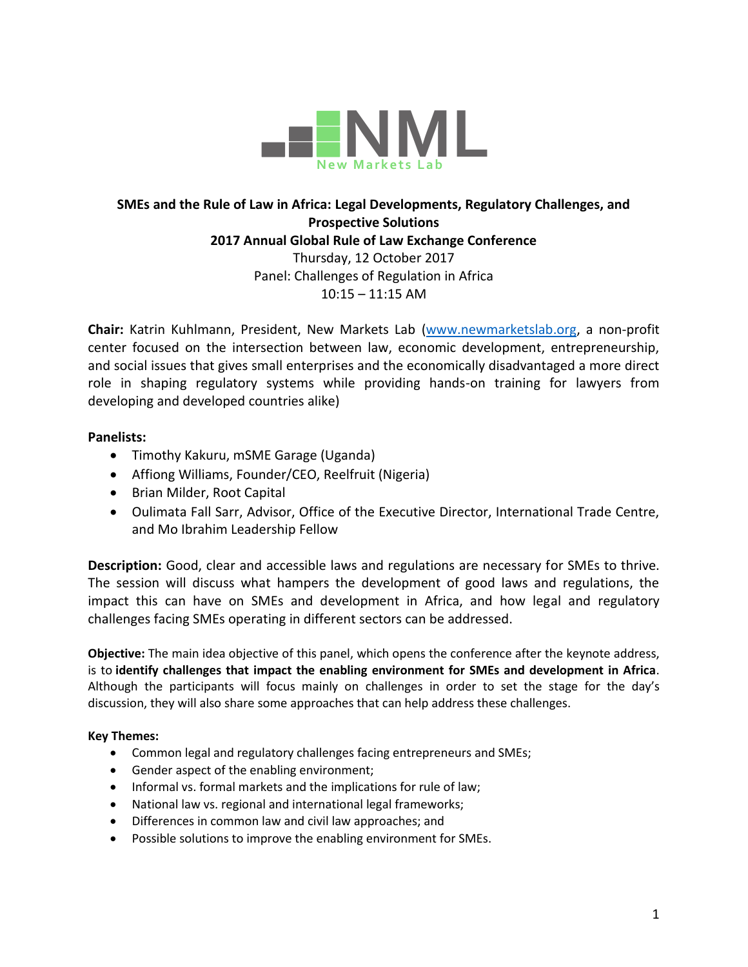

# **SMEs and the Rule of Law in Africa: Legal Developments, Regulatory Challenges, and Prospective Solutions 2017 Annual Global Rule of Law Exchange Conference** Thursday, 12 October 2017 Panel: Challenges of Regulation in Africa 10:15 – 11:15 AM

**Chair:** Katrin Kuhlmann, President, New Markets Lab [\(www.newmarketslab.org,](http://www.newmarketslab.org/) a non-profit center focused on the intersection between law, economic development, entrepreneurship, and social issues that gives small enterprises and the economically disadvantaged a more direct role in shaping regulatory systems while providing hands-on training for lawyers from developing and developed countries alike)

## **Panelists:**

- Timothy Kakuru, mSME Garage (Uganda)
- Affiong Williams, Founder/CEO, Reelfruit (Nigeria)
- Brian Milder, Root Capital
- Oulimata Fall Sarr, Advisor, Office of the Executive Director, International Trade Centre, and Mo Ibrahim Leadership Fellow

**Description:** Good, clear and accessible laws and regulations are necessary for SMEs to thrive. The session will discuss what hampers the development of good laws and regulations, the impact this can have on SMEs and development in Africa, and how legal and regulatory challenges facing SMEs operating in different sectors can be addressed.

**Objective:** The main idea objective of this panel, which opens the conference after the keynote address, is to **identify challenges that impact the enabling environment for SMEs and development in Africa**. Although the participants will focus mainly on challenges in order to set the stage for the day's discussion, they will also share some approaches that can help address these challenges.

### **Key Themes:**

- Common legal and regulatory challenges facing entrepreneurs and SMEs;
- Gender aspect of the enabling environment;
- Informal vs. formal markets and the implications for rule of law;
- National law vs. regional and international legal frameworks;
- Differences in common law and civil law approaches; and
- Possible solutions to improve the enabling environment for SMEs.